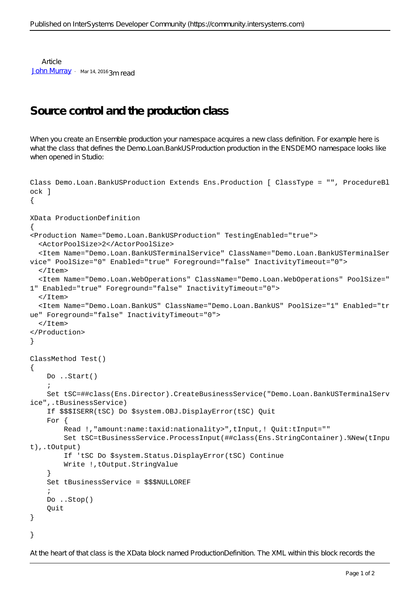**Article** [John Murray](https://community.intersystems.com/user/john-murray) · Mar 14, 2016 3m read

## **Source control and the production class**

When you create an Ensemble production your namespace acquires a new class definition. For example here is what the class that defines the Demo.Loan.BankUSProduction production in the ENSDEMO namespace looks like when opened in Studio:

```
Class Demo.Loan.BankUSProduction Extends Ens.Production [ ClassType = "", ProcedureBl
ock ]
{
XData ProductionDefinition
{
<Production Name="Demo.Loan.BankUSProduction" TestingEnabled="true">
   <ActorPoolSize>2</ActorPoolSize>
   <Item Name="Demo.Loan.BankUSTerminalService" ClassName="Demo.Loan.BankUSTerminalSer
vice" PoolSize="0" Enabled="true" Foreground="false" InactivityTimeout="0">
   </Item>
   <Item Name="Demo.Loan.WebOperations" ClassName="Demo.Loan.WebOperations" PoolSize="
1" Enabled="true" Foreground="false" InactivityTimeout="0">
  \langle/Ttem>
   <Item Name="Demo.Loan.BankUS" ClassName="Demo.Loan.BankUS" PoolSize="1" Enabled="tr
ue" Foreground="false" InactivityTimeout="0">
  \langle/Ttem>
</Production>
}
ClassMethod Test()
{
     Do ..Start()
     ;
     Set tSC=##class(Ens.Director).CreateBusinessService("Demo.Loan.BankUSTerminalServ
ice",.tBusinessService)
     If $$$ISERR(tSC) Do $system.OBJ.DisplayError(tSC) Quit
     For {
         Read !,"amount:name:taxid:nationality>",tInput,! Quit:tInput=""
         Set tSC=tBusinessService.ProcessInput(##class(Ens.StringContainer).%New(tInpu
t),.tOutput)
         If 'tSC Do $system.Status.DisplayError(tSC) Continue
         Write !,tOutput.StringValue
     }
     Set tBusinessService = $$$NULLOREF
\mathbf{i} Do ..Stop()
     Quit
}
}
```
At the heart of that class is the XData block named ProductionDefinition. The XML within this block records the